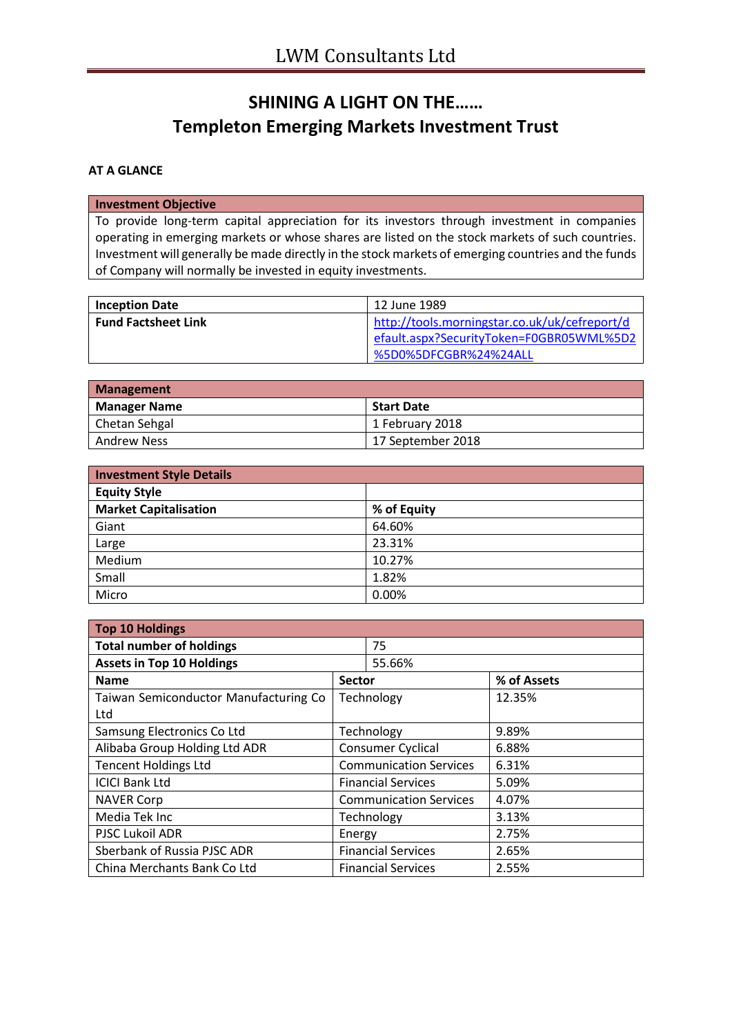# **SHINING A LIGHT ON THE…… Templeton Emerging Markets Investment Trust**

## **AT A GLANCE**

### **Investment Objective**

To provide long-term capital appreciation for its investors through investment in companies operating in emerging markets or whose shares are listed on the stock markets of such countries. Investment will generally be made directly in the stock markets of emerging countries and the funds of Company will normally be invested in equity investments.

| <b>Inception Date</b>      | 12 June 1989                                  |
|----------------------------|-----------------------------------------------|
| <b>Fund Factsheet Link</b> | http://tools.morningstar.co.uk/uk/cefreport/d |
|                            | efault.aspx?SecurityToken=F0GBR05WML%5D2      |
|                            | %5D0%5DFCGBR%24%24ALL                         |

| Management          |                   |  |
|---------------------|-------------------|--|
| <b>Manager Name</b> | <b>Start Date</b> |  |
| Chetan Sehgal       | 1 February 2018   |  |
| <b>Andrew Ness</b>  | 17 September 2018 |  |

| <b>Investment Style Details</b> |             |  |  |
|---------------------------------|-------------|--|--|
| <b>Equity Style</b>             |             |  |  |
| <b>Market Capitalisation</b>    | % of Equity |  |  |
| Giant                           | 64.60%      |  |  |
| Large                           | 23.31%      |  |  |
| Medium                          | 10.27%      |  |  |
| Small                           | 1.82%       |  |  |
| Micro                           | 0.00%       |  |  |

| <b>Top 10 Holdings</b>                |                               |        |             |  |
|---------------------------------------|-------------------------------|--------|-------------|--|
| <b>Total number of holdings</b>       | 75                            |        |             |  |
| <b>Assets in Top 10 Holdings</b>      |                               | 55.66% |             |  |
| <b>Name</b>                           | <b>Sector</b>                 |        | % of Assets |  |
| Taiwan Semiconductor Manufacturing Co | Technology                    |        | 12.35%      |  |
| Ltd                                   |                               |        |             |  |
| Samsung Electronics Co Ltd            | Technology                    |        | 9.89%       |  |
| Alibaba Group Holding Ltd ADR         | Consumer Cyclical             |        | 6.88%       |  |
| <b>Tencent Holdings Ltd</b>           | <b>Communication Services</b> |        | 6.31%       |  |
| <b>ICICI Bank Ltd</b>                 | <b>Financial Services</b>     |        | 5.09%       |  |
| <b>NAVER Corp</b>                     | <b>Communication Services</b> |        | 4.07%       |  |
| Media Tek Inc                         | Technology                    |        | 3.13%       |  |
| PJSC Lukoil ADR                       | Energy                        |        | 2.75%       |  |
| Sberbank of Russia PJSC ADR           | <b>Financial Services</b>     |        | 2.65%       |  |
| China Merchants Bank Co Ltd           | <b>Financial Services</b>     |        | 2.55%       |  |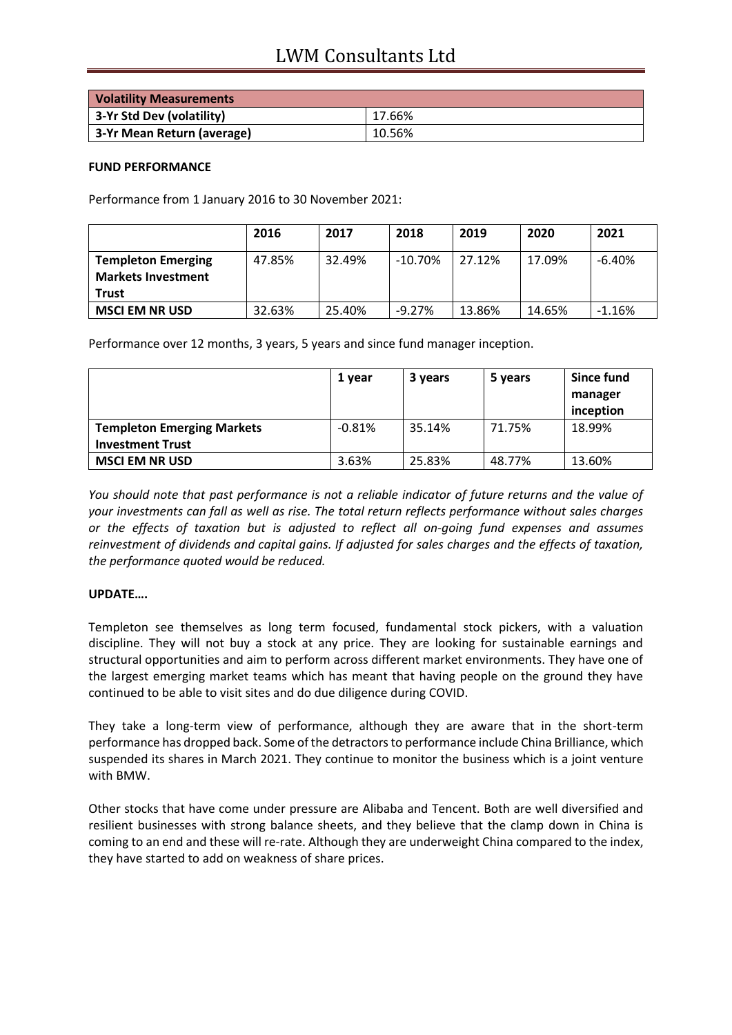| <b>Volatility Measurements</b> |        |
|--------------------------------|--------|
| 3-Yr Std Dev (volatility)      | 17.66% |
| 3-Yr Mean Return (average)     | 10.56% |

#### **FUND PERFORMANCE**

Performance from 1 January 2016 to 30 November 2021:

|                                                                        | 2016   | 2017   | 2018       | 2019   | 2020   | 2021     |
|------------------------------------------------------------------------|--------|--------|------------|--------|--------|----------|
| <b>Templeton Emerging</b><br><b>Markets Investment</b><br><b>Trust</b> | 47.85% | 32.49% | $-10.70\%$ | 27.12% | 17.09% | $-6.40%$ |
| <b>MSCI EM NR USD</b>                                                  | 32.63% | 25.40% | $-9.27%$   | 13.86% | 14.65% | $-1.16%$ |

Performance over 12 months, 3 years, 5 years and since fund manager inception.

|                                   | 1 year   | 3 years | 5 years | Since fund<br>manager<br>inception |
|-----------------------------------|----------|---------|---------|------------------------------------|
| <b>Templeton Emerging Markets</b> | $-0.81%$ | 35.14%  | 71.75%  | 18.99%                             |
| <b>Investment Trust</b>           |          |         |         |                                    |
| <b>MSCI EM NR USD</b>             | 3.63%    | 25.83%  | 48.77%  | 13.60%                             |

*You should note that past performance is not a reliable indicator of future returns and the value of your investments can fall as well as rise. The total return reflects performance without sales charges or the effects of taxation but is adjusted to reflect all on-going fund expenses and assumes reinvestment of dividends and capital gains. If adjusted for sales charges and the effects of taxation, the performance quoted would be reduced.*

## **UPDATE….**

Templeton see themselves as long term focused, fundamental stock pickers, with a valuation discipline. They will not buy a stock at any price. They are looking for sustainable earnings and structural opportunities and aim to perform across different market environments. They have one of the largest emerging market teams which has meant that having people on the ground they have continued to be able to visit sites and do due diligence during COVID.

They take a long-term view of performance, although they are aware that in the short-term performance has dropped back. Some of the detractors to performance include China Brilliance, which suspended its shares in March 2021. They continue to monitor the business which is a joint venture with BMW.

Other stocks that have come under pressure are Alibaba and Tencent. Both are well diversified and resilient businesses with strong balance sheets, and they believe that the clamp down in China is coming to an end and these will re-rate. Although they are underweight China compared to the index, they have started to add on weakness of share prices.